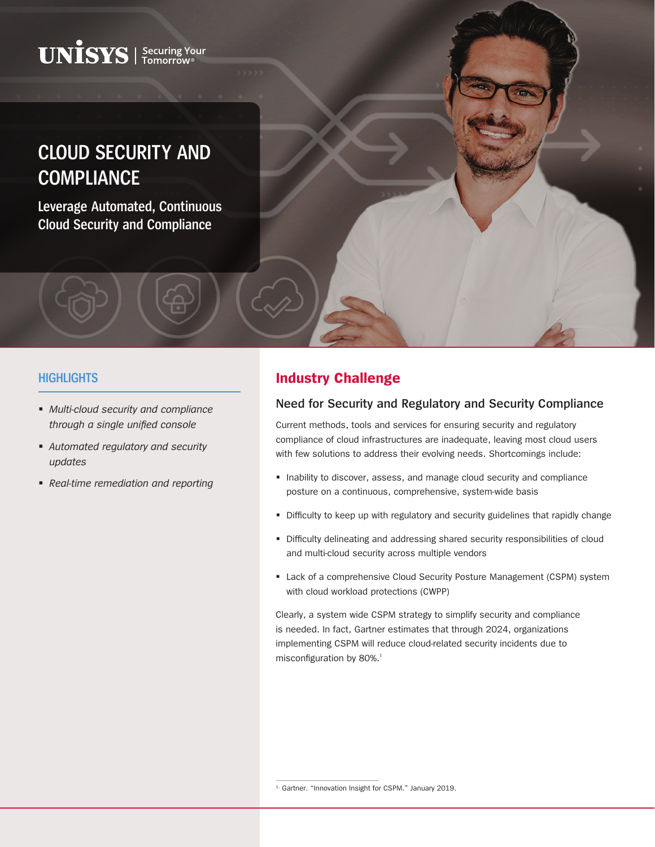# $\mathbf{UNISS}$  | Securing Your

# **CLOUD SECURITY AND COMPLIANCE**

**Leverage Automated, Continuous Cloud Security and Compliance**

#### **HIGHLIGHTS**

- *Multi-cloud security and compliance through a single unified console*
- *Automated regulatory and security updates*
- *Real-time remediation and reporting*

### **Industry Challenge**

#### **Need for Security and Regulatory and Security Compliance**

Current methods, tools and services for ensuring security and regulatory compliance of cloud infrastructures are inadequate, leaving most cloud users with few solutions to address their evolving needs. Shortcomings include:

- Inability to discover, assess, and manage cloud security and compliance posture on a continuous, comprehensive, system-wide basis
- Difficulty to keep up with regulatory and security guidelines that rapidly change
- Difficulty delineating and addressing shared security responsibilities of cloud and multi-cloud security across multiple vendors
- Lack of a comprehensive Cloud Security Posture Management (CSPM) system with cloud workload protections (CWPP)

Clearly, a system wide CSPM strategy to simplify security and compliance is needed. In fact, Gartner estimates that through 2024, organizations implementing CSPM will reduce cloud-related security incidents due to misconfiguration by 80%.<sup>1</sup>